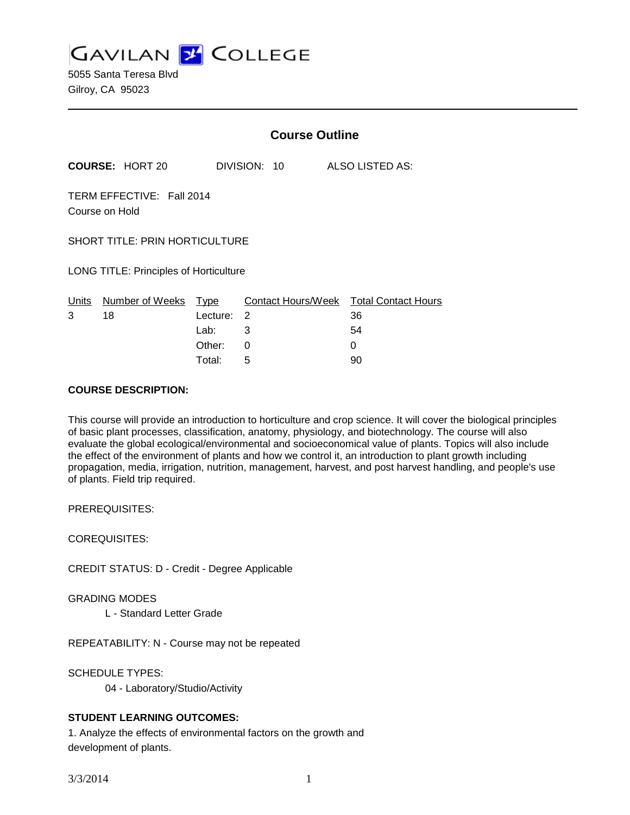**GAVILAN J COLLEGE** 

5055 Santa Teresa Blvd Gilroy, CA 95023

|                                               |                        | <b>Course Outline</b> |              |   |                                        |
|-----------------------------------------------|------------------------|-----------------------|--------------|---|----------------------------------------|
|                                               | <b>COURSE: HORT 20</b> |                       | DIVISION: 10 |   | <b>ALSO LISTED AS:</b>                 |
| TERM EFFECTIVE: Fall 2014<br>Course on Hold   |                        |                       |              |   |                                        |
| <b>SHORT TITLE: PRIN HORTICULTURE</b>         |                        |                       |              |   |                                        |
| <b>LONG TITLE: Principles of Horticulture</b> |                        |                       |              |   |                                        |
| Units                                         | Number of Weeks        | Type                  |              |   | Contact Hours/Week Total Contact Hours |
| 3                                             | 18                     | Lecture:              | 2            |   | 36                                     |
|                                               |                        | Lab:                  | 3            |   | 54                                     |
|                                               |                        | Other:                | 0            | 0 |                                        |
|                                               |                        | Total:                | 5            |   | 90                                     |

#### **COURSE DESCRIPTION:**

This course will provide an introduction to horticulture and crop science. It will cover the biological principles of basic plant processes, classification, anatomy, physiology, and biotechnology. The course will also evaluate the global ecological/environmental and socioeconomical value of plants. Topics will also include the effect of the environment of plants and how we control it, an introduction to plant growth including propagation, media, irrigation, nutrition, management, harvest, and post harvest handling, and people's use of plants. Field trip required.

PREREQUISITES:

COREQUISITES:

CREDIT STATUS: D - Credit - Degree Applicable

GRADING MODES

L - Standard Letter Grade

REPEATABILITY: N - Course may not be repeated

SCHEDULE TYPES:

04 - Laboratory/Studio/Activity

#### **STUDENT LEARNING OUTCOMES:**

1. Analyze the effects of environmental factors on the growth and development of plants.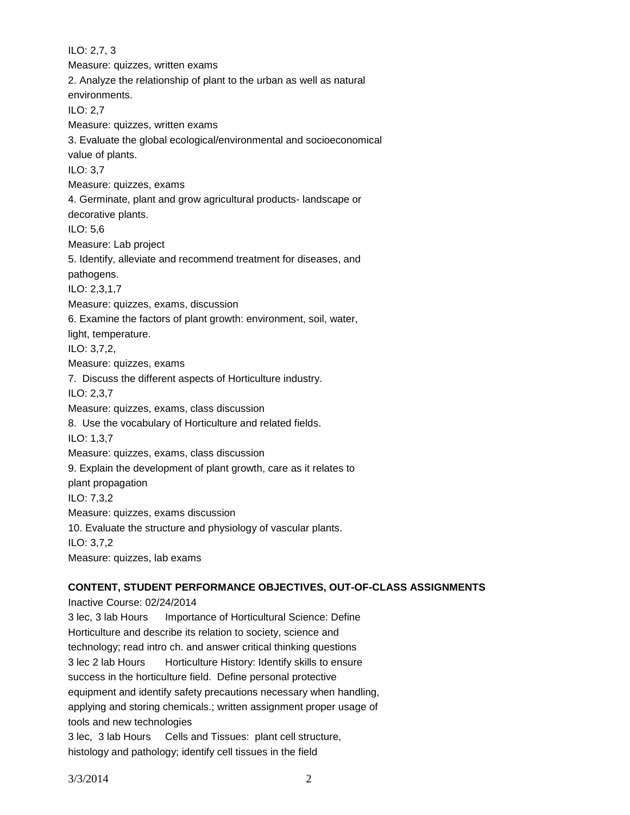ILO: 2,7, 3 Measure: quizzes, written exams 2. Analyze the relationship of plant to the urban as well as natural environments. ILO: 2,7 Measure: quizzes, written exams 3. Evaluate the global ecological/environmental and socioeconomical value of plants. ILO: 3,7 Measure: quizzes, exams 4. Germinate, plant and grow agricultural products- landscape or decorative plants. ILO: 5,6 Measure: Lab project 5. Identify, alleviate and recommend treatment for diseases, and pathogens. ILO: 2,3,1,7 Measure: quizzes, exams, discussion 6. Examine the factors of plant growth: environment, soil, water, light, temperature. ILO: 3,7,2, Measure: quizzes, exams 7. Discuss the different aspects of Horticulture industry. ILO: 2,3,7 Measure: quizzes, exams, class discussion 8. Use the vocabulary of Horticulture and related fields. ILO: 1,3,7 Measure: quizzes, exams, class discussion 9. Explain the development of plant growth, care as it relates to plant propagation ILO: 7,3,2 Measure: quizzes, exams discussion 10. Evaluate the structure and physiology of vascular plants. ILO: 3,7,2 Measure: quizzes, lab exams

#### **CONTENT, STUDENT PERFORMANCE OBJECTIVES, OUT-OF-CLASS ASSIGNMENTS**

Inactive Course: 02/24/2014

3 lec, 3 lab Hours Importance of Horticultural Science: Define Horticulture and describe its relation to society, science and technology; read intro ch. and answer critical thinking questions 3 lec 2 lab Hours Horticulture History: Identify skills to ensure success in the horticulture field. Define personal protective equipment and identify safety precautions necessary when handling, applying and storing chemicals.; written assignment proper usage of tools and new technologies 3 lec, 3 lab Hours Cells and Tissues: plant cell structure,

histology and pathology; identify cell tissues in the field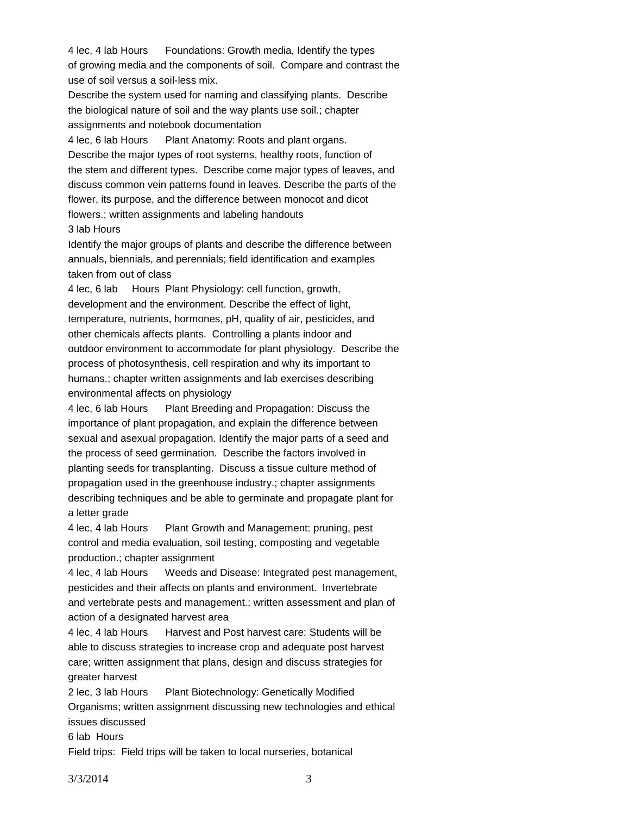4 lec, 4 lab Hours Foundations: Growth media, Identify the types of growing media and the components of soil. Compare and contrast the use of soil versus a soil-less mix.

Describe the system used for naming and classifying plants. Describe the biological nature of soil and the way plants use soil.; chapter assignments and notebook documentation

4 lec, 6 lab Hours Plant Anatomy: Roots and plant organs. Describe the major types of root systems, healthy roots, function of the stem and different types. Describe come major types of leaves, and discuss common vein patterns found in leaves. Describe the parts of the flower, its purpose, and the difference between monocot and dicot flowers.; written assignments and labeling handouts 3 lab Hours

Identify the major groups of plants and describe the difference between annuals, biennials, and perennials; field identification and examples taken from out of class

4 lec, 6 lab Hours Plant Physiology: cell function, growth, development and the environment. Describe the effect of light, temperature, nutrients, hormones, pH, quality of air, pesticides, and other chemicals affects plants. Controlling a plants indoor and outdoor environment to accommodate for plant physiology. Describe the process of photosynthesis, cell respiration and why its important to humans.; chapter written assignments and lab exercises describing environmental affects on physiology

4 lec, 6 lab Hours Plant Breeding and Propagation: Discuss the importance of plant propagation, and explain the difference between sexual and asexual propagation. Identify the major parts of a seed and the process of seed germination. Describe the factors involved in planting seeds for transplanting. Discuss a tissue culture method of propagation used in the greenhouse industry.; chapter assignments describing techniques and be able to germinate and propagate plant for a letter grade

4 lec, 4 lab Hours Plant Growth and Management: pruning, pest control and media evaluation, soil testing, composting and vegetable production.; chapter assignment

4 lec, 4 lab Hours Weeds and Disease: Integrated pest management, pesticides and their affects on plants and environment. Invertebrate and vertebrate pests and management.; written assessment and plan of action of a designated harvest area

4 lec, 4 lab Hours Harvest and Post harvest care: Students will be able to discuss strategies to increase crop and adequate post harvest care; written assignment that plans, design and discuss strategies for greater harvest

2 lec, 3 lab Hours Plant Biotechnology: Genetically Modified

Organisms; written assignment discussing new technologies and ethical issues discussed

6 lab Hours

Field trips: Field trips will be taken to local nurseries, botanical

3/3/2014 3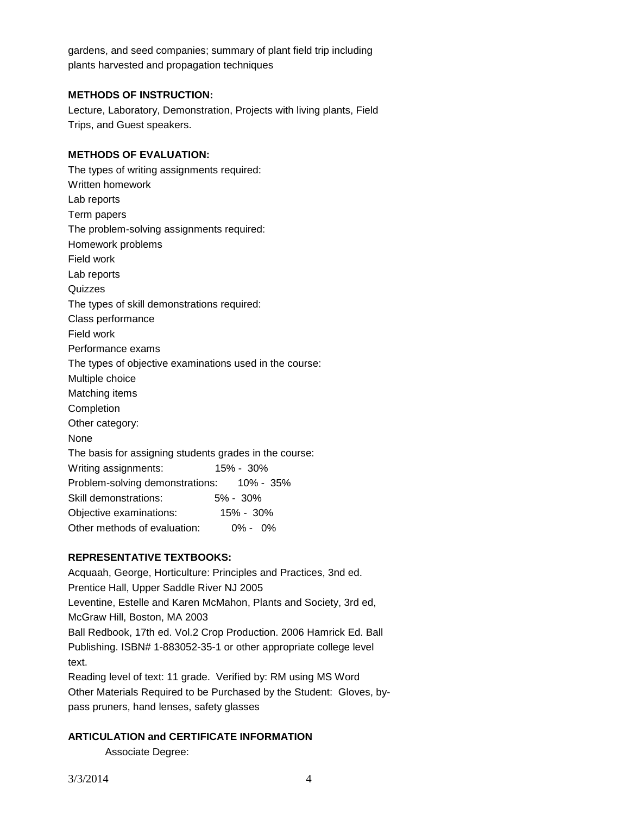gardens, and seed companies; summary of plant field trip including plants harvested and propagation techniques

## **METHODS OF INSTRUCTION:**

Lecture, Laboratory, Demonstration, Projects with living plants, Field Trips, and Guest speakers.

## **METHODS OF EVALUATION:**

The types of writing assignments required: Written homework Lab reports Term papers The problem-solving assignments required: Homework problems Field work Lab reports Quizzes The types of skill demonstrations required: Class performance Field work Performance exams The types of objective examinations used in the course: Multiple choice Matching items Completion Other category: None The basis for assigning students grades in the course: Writing assignments: 15% - 30% Problem-solving demonstrations: 10% - 35% Skill demonstrations: 5% - 30% Objective examinations: 15% - 30% Other methods of evaluation: 0% - 0%

# **REPRESENTATIVE TEXTBOOKS:**

Acquaah, George, Horticulture: Principles and Practices, 3nd ed. Prentice Hall, Upper Saddle River NJ 2005 Leventine, Estelle and Karen McMahon, Plants and Society, 3rd ed, McGraw Hill, Boston, MA 2003 Ball Redbook, 17th ed. Vol.2 Crop Production. 2006 Hamrick Ed. Ball Publishing. ISBN# 1-883052-35-1 or other appropriate college level text.

Reading level of text: 11 grade. Verified by: RM using MS Word Other Materials Required to be Purchased by the Student: Gloves, bypass pruners, hand lenses, safety glasses

# **ARTICULATION and CERTIFICATE INFORMATION**

Associate Degree: